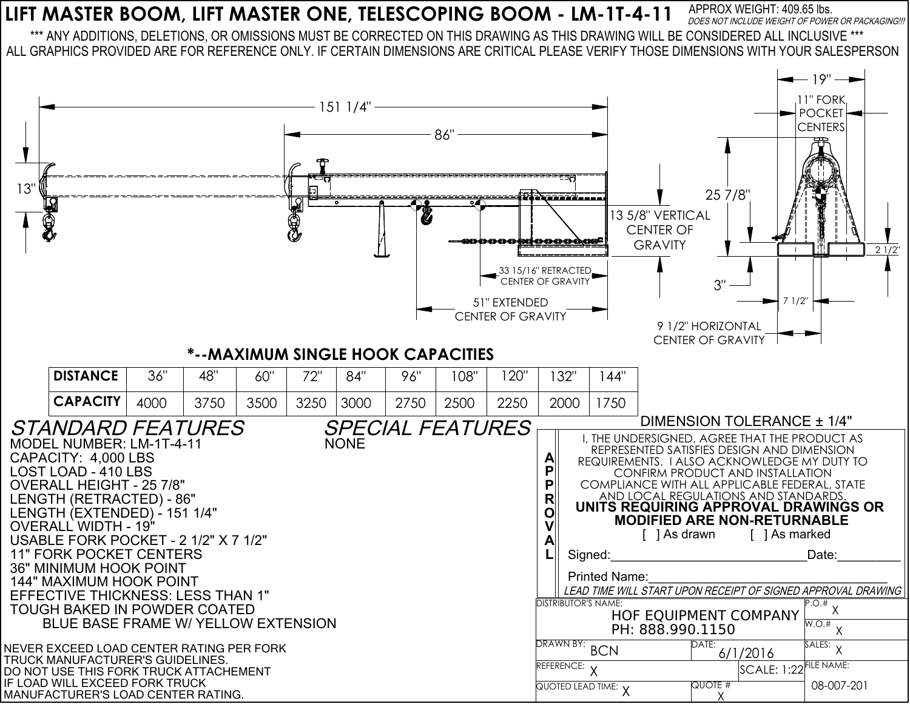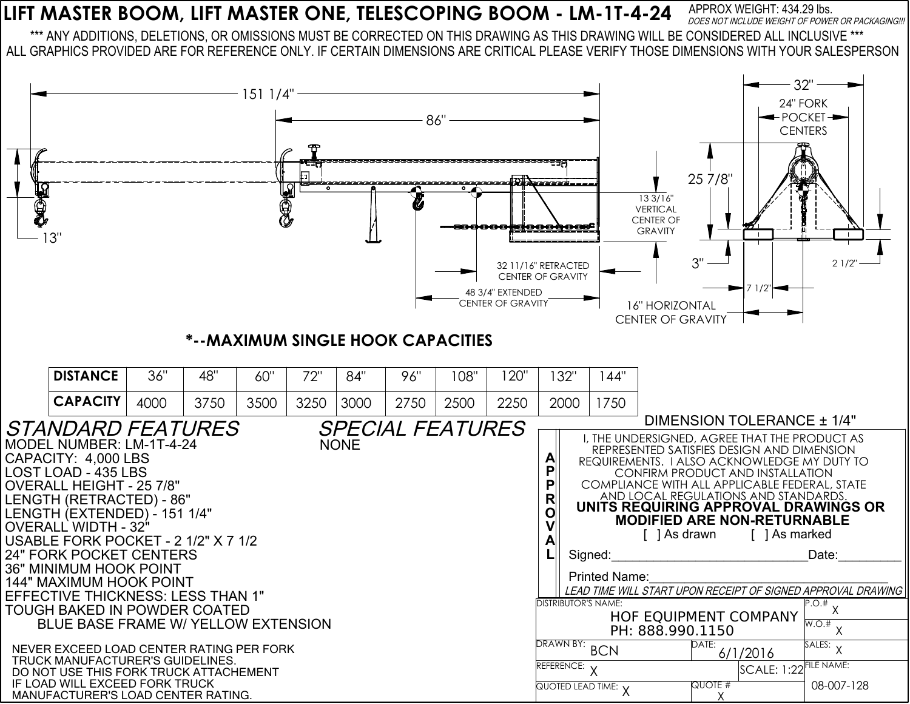## **LIFT MASTER BOOM, LIFT MASTER ONE, TELESCOPING BOOM - LM-1T-4-24** APPROX WEIGHT: 434.29 lbs. DOES NOT INCLUDE WEIGHT OF POWER OR PACKAGING !!!

\*\*\* ANY ADDITIONS, DELETIONS, OR OMISSIONS MUST BE CORRECTED ON THIS DRAWING AS THIS DRAWING WILL BE CONSIDERED ALL INCLUSIVE \*\*\* ALL GRAPHICS PROVIDED ARE FOR REFERENCE ONLY. IF CERTAIN DIMENSIONS ARE CRITICAL PLEASE VERIFY THOSE DIMENSIONS WITH YOUR SALESPERSON

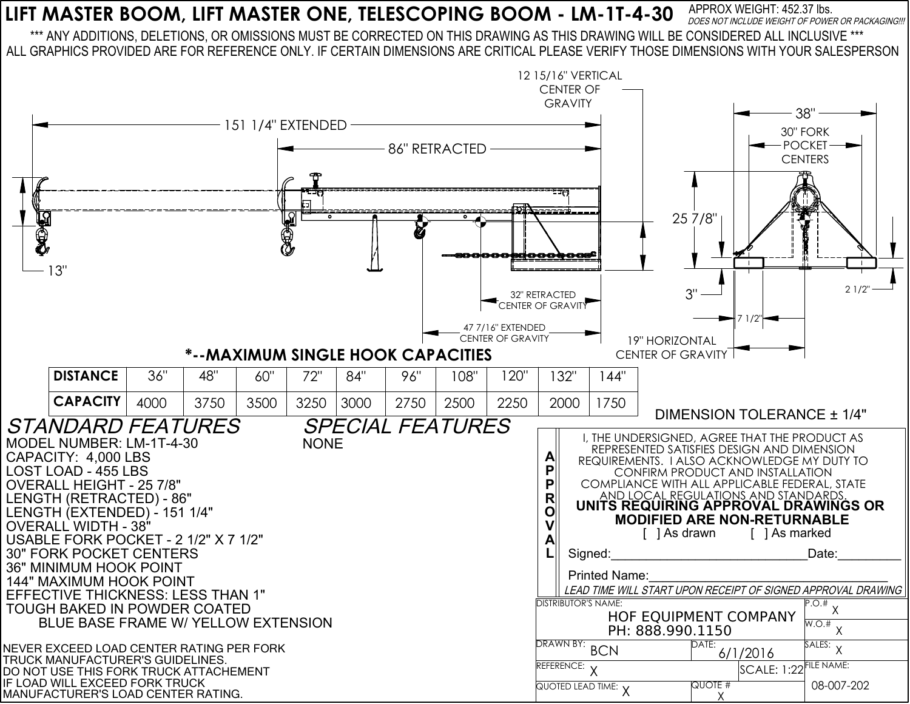## **LIFT MASTER BOOM, LIFT MASTER ONE, TELESCOPING BOOM - LM-1T-4-30** APPROX WEIGHT: 452.37 lbs. DOES NOT INCLUDE WEIGHT OF POWER OR PACKAGING!!!

\*\*\* ANY ADDITIONS, DELETIONS, OR OMISSIONS MUST BE CORRECTED ON THIS DRAWING AS THIS DRAWING WILL BE CONSIDERED ALL INCLUSIVE \*\*\* ALL GRAPHICS PROVIDED ARE FOR REFERENCE ONLY. IF CERTAIN DIMENSIONS ARE CRITICAL PLEASE VERIFY THOSE DIMENSIONS WITH YOUR SALESPERSON